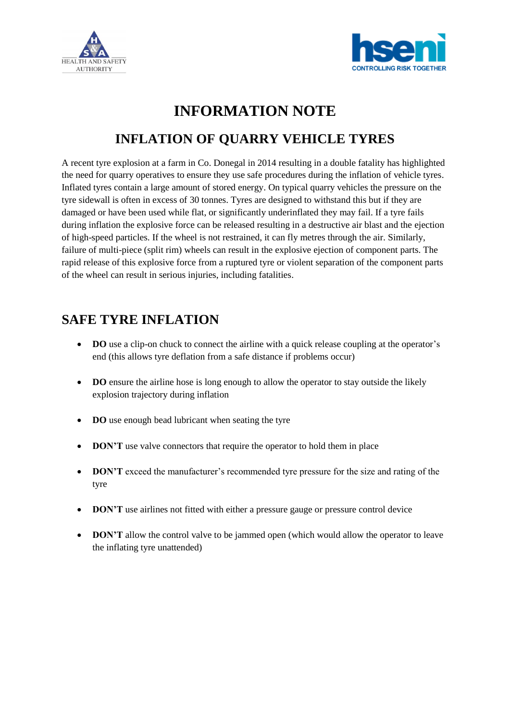



# **INFORMATION NOTE**

# **INFLATION OF QUARRY VEHICLE TYRES**

A recent tyre explosion at a farm in Co. Donegal in 2014 resulting in a double fatality has highlighted the need for quarry operatives to ensure they use safe procedures during the inflation of vehicle tyres. Inflated tyres contain a large amount of stored energy. On typical quarry vehicles the pressure on the tyre sidewall is often in excess of 30 tonnes. Tyres are designed to withstand this but if they are damaged or have been used while flat, or significantly underinflated they may fail. If a tyre fails during inflation the explosive force can be released resulting in a destructive air blast and the ejection of high-speed particles. If the wheel is not restrained, it can fly metres through the air. Similarly, failure of multi-piece (split rim) wheels can result in the explosive ejection of component parts. The rapid release of this explosive force from a ruptured tyre or violent separation of the component parts of the wheel can result in serious injuries, including fatalities.

## **SAFE TYRE INFLATION**

- **DO** use a clip-on chuck to connect the airline with a quick release coupling at the operator's end (this allows tyre deflation from a safe distance if problems occur)
- **DO** ensure the airline hose is long enough to allow the operator to stay outside the likely explosion trajectory during inflation
- **DO** use enough bead lubricant when seating the tyre
- **DON'T** use valve connectors that require the operator to hold them in place
- **DON'T** exceed the manufacturer's recommended tyre pressure for the size and rating of the tyre
- **DON'T** use airlines not fitted with either a pressure gauge or pressure control device
- **DON'T** allow the control valve to be jammed open (which would allow the operator to leave the inflating tyre unattended)